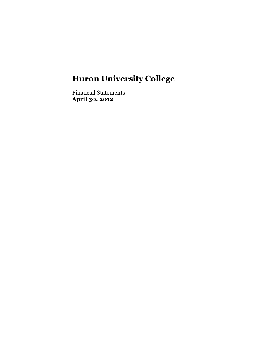Financial Statements **April 30, 2012**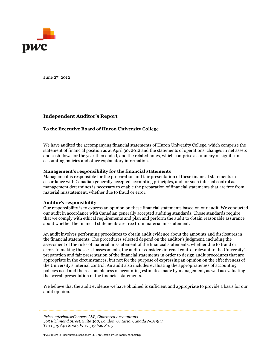

June 27, 2012

### **Independent Auditor's Report**

#### **To the Executive Board of Huron University College**

We have audited the accompanying financial statements of Huron University College, which comprise the statement of financial position as at April 30, 2012 and the statements of operations, changes in net assets and cash flows for the year then ended, and the related notes, which comprise a summary of significant accounting policies and other explanatory information.

#### **Management's responsibility for the financial statements**

Management is responsible for the preparation and fair presentation of these financial statements in accordance with Canadian generally accepted accounting principles, and for such internal control as management determines is necessary to enable the preparation of financial statements that are free from material misstatement, whether due to fraud or error.

#### **Auditor's responsibility**

Our responsibility is to express an opinion on these financial statements based on our audit. We conducted our audit in accordance with Canadian generally accepted auditing standards. Those standards require that we comply with ethical requirements and plan and perform the audit to obtain reasonable assurance about whether the financial statements are free from material misstatement.

An audit involves performing procedures to obtain audit evidence about the amounts and disclosures in the financial statements. The procedures selected depend on the auditor's judgment, including the assessment of the risks of material misstatement of the financial statements, whether due to fraud or error. In making those risk assessments, the auditor considers internal control relevant to the University's preparation and fair presentation of the financial statements in order to design audit procedures that are appropriate in the circumstances, but not for the purpose of expressing an opinion on the effectiveness of the University's internal control. An audit also includes evaluating the appropriateness of accounting policies used and the reasonableness of accounting estimates made by management, as well as evaluating the overall presentation of the financial statements.

We believe that the audit evidence we have obtained is sufficient and appropriate to provide a basis for our audit opinion.

"PwC" refers to PricewaterhouseCoopers LLP, an Ontario limited liability partnership. *465 Richmond Street, Suite 300, London, Ontario, Canada N6A 5P4 PricewaterhouseCoopers LLP, Chartered Accountants T: +1 519 640 8000, F: +1 519 640 8015*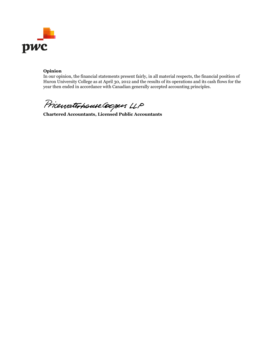

## **Opinion**

In our opinion, the financial statements present fairly, in all material respects, the financial position of Huron University College as at April 30, 2012 and the results of its operations and its cash flows for the year then ended in accordance with Canadian generally accepted accounting principles.

Pricewaterhouse Coopes LLP<br>Chartered Accountants, Licensed Public Accountants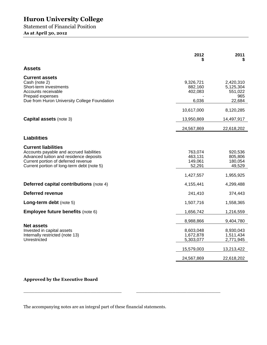Statement of Financial Position **As at April 30, 2012**

|                                                                                                                                                                                                        | 2012                                     | 2011<br>S                                          |
|--------------------------------------------------------------------------------------------------------------------------------------------------------------------------------------------------------|------------------------------------------|----------------------------------------------------|
| <b>Assets</b>                                                                                                                                                                                          |                                          |                                                    |
| <b>Current assets</b><br>Cash (note 2)<br>Short-term investments<br>Accounts receivable<br>Prepaid expenses<br>Due from Huron University College Foundation                                            | 9,326,721<br>882,160<br>402,083<br>6,036 | 2,420,310<br>5,125,304<br>551,022<br>965<br>22,684 |
|                                                                                                                                                                                                        | 10,617,000                               | 8,120,285                                          |
| <b>Capital assets (note 3)</b>                                                                                                                                                                         | 13,950,869                               | 14,497,917                                         |
|                                                                                                                                                                                                        | 24,567,869                               | 22,618,202                                         |
| <b>Liabilities</b>                                                                                                                                                                                     |                                          |                                                    |
| <b>Current liabilities</b><br>Accounts payable and accrued liabilities<br>Advanced tuition and residence deposits<br>Current portion of deferred revenue<br>Current portion of long-term debt (note 5) | 763,074<br>463,131<br>149,061<br>52,291  | 920,536<br>805,806<br>180,054<br>49,529            |
|                                                                                                                                                                                                        | 1,427,557                                | 1,955,925                                          |
| <b>Deferred capital contributions (note 4)</b>                                                                                                                                                         | 4,155,441                                | 4,299,488                                          |
| <b>Deferred revenue</b>                                                                                                                                                                                | 241,410                                  | 374,443                                            |
| Long-term debt (note 5)                                                                                                                                                                                | 1,507,716                                | 1,558,365                                          |
| Employee future benefits (note 6)                                                                                                                                                                      | 1,656,742                                | 1,216,559                                          |
|                                                                                                                                                                                                        | 8,988,866                                | 9,404,780                                          |
| <b>Net assets</b><br>Invested in capital assets<br>Internally restricted (note 13)<br>Unrestricted                                                                                                     | 8,603,048<br>1,672,878<br>5,303,077      | 8,930,043<br>1,511,434<br>2,771,945                |
|                                                                                                                                                                                                        | 15,579,003                               | 13,213,422                                         |
|                                                                                                                                                                                                        | 24,567,869                               | 22,618,202                                         |

# **Approved by the Executive Board**

The accompanying notes are an integral part of these financial statements.

 $\_$  , and the state of the state of the state of the state of the state of the state of the state of the state of the state of the state of the state of the state of the state of the state of the state of the state of the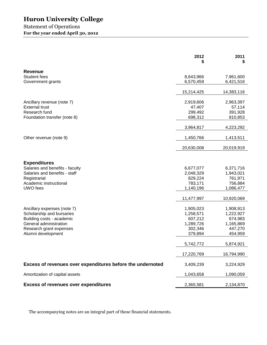# Statement of Operations **For the year ended April 30, 2012**

|                                                            | 2012                   | 2011<br>\$             |
|------------------------------------------------------------|------------------------|------------------------|
| <b>Revenue</b>                                             |                        |                        |
| Student fees<br>Government grants                          | 8,643,966<br>6,570,459 | 7,961,600<br>6,421,516 |
|                                                            | 15,214,425             | 14,383,116             |
| Ancillary revenue (note 7)<br><b>External trust</b>        | 2,919,606<br>47,407    | 2,963,397<br>57,114    |
| Research fund<br>Foundation transfer (note 8)              | 299,492<br>698,312     | 391,928<br>810,853     |
|                                                            | 3,964,817              | 4,223,292              |
| Other revenue (note 9)                                     | 1,450,766              | 1,413,511              |
|                                                            | 20,630,008             | 20,019,919             |
|                                                            |                        |                        |
| <b>Expenditures</b><br>Salaries and benefits - faculty     | 6,677,077              | 6,371,716              |
| Salaries and benefits - staff<br>Registrarial              | 2,048,329<br>829,224   | 1,943,021<br>761,971   |
| Academic instructional<br>UWO fees                         | 783,171<br>1,140,196   | 756,884<br>1,086,477   |
|                                                            | 11,477,997             | 10,920,069             |
| Ancillary expenses (note 7)                                | 1,905,023              | 1,908,913              |
| Scholarship and bursaries<br>Building costs - academic     | 1,258,571<br>607,212   | 1,222,927<br>674,983   |
| General administration                                     | 1,289,726              | 1,165,869              |
| Research grant expenses                                    | 302,346                | 447,270                |
| Alumni development                                         | 379,894                | 454,959                |
|                                                            | 5,742,772              | 5,874,921              |
|                                                            | 17,220,769             | 16,794,990             |
| Excess of revenues over expenditures before the undernoted | 3,409,239              | 3,224,929              |
| Amortization of capital assets                             | 1,043,658              | 1,090,059              |
| <b>Excess of revenues over expenditures</b>                | 2,365,581              | 2,134,870              |

The accompanying notes are an integral part of these financial statements.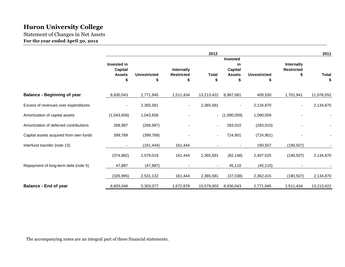Statement of Changes in Net Assets **For the year ended April 30, 2012**

|                                        |                                                      |                          |                                      | 2012                     |                                                          |                     |                                       | 2011              |
|----------------------------------------|------------------------------------------------------|--------------------------|--------------------------------------|--------------------------|----------------------------------------------------------|---------------------|---------------------------------------|-------------------|
|                                        | Invested in<br><b>Capital</b><br><b>Assets</b><br>\$ | <b>Unrestricted</b><br>S | Internally<br><b>Restricted</b><br>S | Total                    | <b>Invested</b><br>in<br><b>Capital</b><br><b>Assets</b> | <b>Unrestricted</b> | Internally<br><b>Restricted</b><br>\$ | <b>Total</b><br>S |
| <b>Balance - Beginning of year</b>     | 8,930,043                                            | 2,771,945                | 1,511,434                            | 13,213,422               | 8,967,081                                                | 409,530             | 1,701,941                             | 11,078,552        |
| Excess of revenues over expenditures   | $\overline{\phantom{a}}$                             | 2,365,581                | $\overline{\phantom{a}}$             | 2,365,581                | $\overline{\phantom{a}}$                                 | 2,134,870           |                                       | 2,134,870         |
| Amortization of capital assets         | (1,043,658)                                          | 1,043,658                |                                      |                          | $-$ (1,090,059)                                          | 1,090,059           |                                       |                   |
| Amortization of deferred contributions | 268,987                                              | (268, 987)               |                                      |                          | 283,010                                                  | (283,010)           |                                       |                   |
| Capital assets acquired from own funds | 399,789                                              | (399, 789)               |                                      | $\overline{\phantom{a}}$ | 724,901                                                  | (724, 901)          |                                       |                   |
| Interfund transfer (note 13)           |                                                      | (161, 444)               | 161,444                              |                          |                                                          | 190,507             | (190, 507)                            |                   |
|                                        | (374, 882)                                           | 2,579,019                | 161,444                              | 2,365,581                | (82, 148)                                                | 2,407,525           | (190, 507)                            | 2,134,870         |
| Repayment of long-term debt (note 5)   | 47,887                                               | (47, 887)                | $\blacksquare$                       |                          | 45,110                                                   | (45, 110)           |                                       |                   |
|                                        | (326, 995)                                           | 2,531,132                | 161,444                              | 2,365,581                | (37,038)                                                 | 2,362,415           | (190, 507)                            | 2,134,870         |
| <b>Balance - End of year</b>           | 8,603,048                                            | 5,303,077                | 1,672,878                            | 15,579,003               | 8,930,043                                                | 2,771,945           | 1,511,434                             | 13,213,422        |

The accompanying notes are an integral part of these financial statements.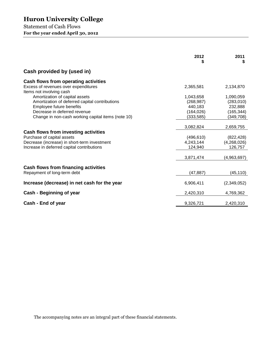Statement of Cash Flows **For the year ended April 30, 2012**

|                                                                                                                                                                                                    | 2012<br>\$                                                     | 2011<br>S                                                     |
|----------------------------------------------------------------------------------------------------------------------------------------------------------------------------------------------------|----------------------------------------------------------------|---------------------------------------------------------------|
| Cash provided by (used in)                                                                                                                                                                         |                                                                |                                                               |
| Cash flows from operating activities<br>Excess of revenues over expenditures<br>Items not involving cash                                                                                           | 2,365,581                                                      | 2,134,870                                                     |
| Amortization of capital assets<br>Amortization of deferred capital contributions<br>Employee future benefits<br>Decrease in deferred revenue<br>Change in non-cash working capital items (note 10) | 1,043,658<br>(268, 987)<br>440,183<br>(164, 026)<br>(333, 585) | 1,090,059<br>(283,010)<br>232,888<br>(165, 344)<br>(349, 708) |
| Cash flows from investing activities<br>Purchase of capital assets<br>Decrease (increase) in short-term investment<br>Increase in deferred capital contributions                                   | 3,082,824<br>(496, 610)<br>4,243,144<br>124,940                | 2,659,755<br>(822, 428)<br>(4,268,026)<br>126,757             |
| <b>Cash flows from financing activities</b><br>Repayment of long-term debt                                                                                                                         | 3,871,474<br>(47, 887)                                         | (4,963,697)<br>(45, 110)                                      |
| Increase (decrease) in net cash for the year                                                                                                                                                       | 6,906,411                                                      | (2,349,052)                                                   |
| Cash - Beginning of year                                                                                                                                                                           | 2,420,310                                                      | 4,769,362                                                     |
| Cash - End of year                                                                                                                                                                                 | 9,326,721                                                      | 2,420,310                                                     |

The accompanying notes are an integral part of these financial statements.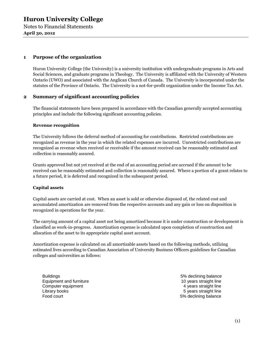Notes to Financial Statements **April 30, 2012**

## **1 Purpose of the organization**

Huron University College (the University) is a university institution with undergraduate programs in Arts and Social Sciences, and graduate programs in Theology. The University is affiliated with the University of Western Ontario (UWO) and associated with the Anglican Church of Canada. The University is incorporated under the statutes of the Province of Ontario. The University is a not-for-profit organization under the Income Tax Act.

### **2 Summary of significant accounting policies**

The financial statements have been prepared in accordance with the Canadian generally accepted accounting principles and include the following significant accounting policies.

#### **Revenue recognition**

The University follows the deferral method of accounting for contributions. Restricted contributions are recognized as revenue in the year in which the related expenses are incurred. Unrestricted contributions are recognized as revenue when received or receivable if the amount received can be reasonably estimated and collection is reasonably assured.

Grants approved but not yet received at the end of an accounting period are accrued if the amount to be received can be reasonably estimated and collection is reasonably assured. Where a portion of a grant relates to a future period, it is deferred and recognized in the subsequent period.

#### **Capital assets**

Capital assets are carried at cost. When an asset is sold or otherwise disposed of, the related cost and accumulated amortization are removed from the respective accounts and any gain or loss on disposition is recognized in operations for the year.

The carrying amount of a capital asset not being amortized because it is under construction or development is classified as work-in-progress. Amortization expense is calculated upon completion of construction and allocation of the asset to its appropriate capital asset account.

Amortization expense is calculated on all amortizable assets based on the following methods, utilizing estimated lives according to Canadian Association of University Business Officers guidelines for Canadian colleges and universities as follows:

Buildings 5% declining balance Equipment and furniture 10 years straight line Computer equipment **4** years straight line Library books **5** years straight line Food court **Food court** 6 and 5% declining balance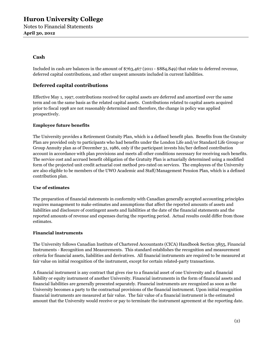# **Cash**

Included in cash are balances in the amount of \$763,467 (2011 - \$884,849) that relate to deferred revenue, deferred capital contributions, and other unspent amounts included in current liabilities.

# **Deferred capital contributions**

Effective May 1, 1997, contributions received for capital assets are deferred and amortized over the same term and on the same basis as the related capital assets. Contributions related to capital assets acquired prior to fiscal 1998 are not reasonably determined and therefore, the change in policy was applied prospectively.

### **Employee future benefits**

The University provides a Retirement Gratuity Plan, which is a defined benefit plan. Benefits from the Gratuity Plan are provided only to participants who had benefits under the London Life and/or Standard Life Group or Group Annuity plan as of December 31, 1986, only if the participant invests his/her defined contribution account in accordance with plan provisions and meets all other conditions necessary for receiving such benefits. The service cost and accrued benefit obligation of the Gratuity Plan is actuarially determined using a modified form of the projected unit credit actuarial cost method pro-rated on services. The employees of the University are also eligible to be members of the UWO Academic and Staff/Management Pension Plan, which is a defined contribution plan.

#### **Use of estimates**

The preparation of financial statements in conformity with Canadian generally accepted accounting principles requires management to make estimates and assumptions that affect the reported amounts of assets and liabilities and disclosure of contingent assets and liabilities at the date of the financial statements and the reported amounts of revenue and expenses during the reporting period. Actual results could differ from those estimates.

#### **Financial instruments**

The University follows Canadian Institute of Chartered Accountants (CICA) Handbook Section 3855, Financial Instruments - Recognition and Measurements. This standard establishes the recognition and measurement criteria for financial assets, liabilities and derivatives. All financial instruments are required to be measured at fair value on initial recognition of the instrument, except for certain related-party transactions.

A financial instrument is any contract that gives rise to a financial asset of one University and a financial liability or equity instrument of another University. Financial instruments in the form of financial assets and financial liabilities are generally presented separately. Financial instruments are recognized as soon as the University becomes a party to the contractual provisions of the financial instrument. Upon initial recognition financial instruments are measured at fair value. The fair value of a financial instrument is the estimated amount that the University would receive or pay to terminate the instrument agreement at the reporting date.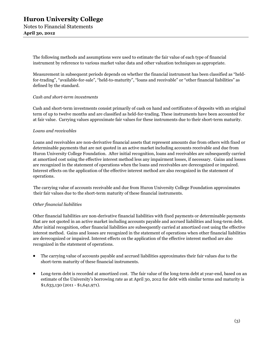The following methods and assumptions were used to estimate the fair value of each type of financial instrument by reference to various market value data and other valuation techniques as appropriate.

Measurement in subsequent periods depends on whether the financial instrument has been classified as "heldfor-trading", "available-for-sale", "held-to-maturity", "loans and receivable" or "other financial liabilities" as defined by the standard.

#### *Cash and short-term investments*

Cash and short-term investments consist primarily of cash on hand and certificates of deposits with an original term of up to twelve months and are classified as held-for-trading. These instruments have been accounted for at fair value. Carrying values approximate fair values for these instruments due to their short-term maturity.

#### *Loans and receivables*

Loans and receivables are non-derivative financial assets that represent amounts due from others with fixed or determinable payments that are not quoted in an active market including accounts receivable and due from Huron University College Foundation. After initial recognition, loans and receivables are subsequently carried at amortized cost using the effective interest method less any impairment losses, if necessary. Gains and losses are recognized in the statement of operations when the loans and receivables are derecognized or impaired. Interest effects on the application of the effective interest method are also recognized in the statement of operations.

The carrying value of accounts receivable and due from Huron University College Foundation approximates their fair values due to the short-term maturity of these financial instruments.

#### *Other financial liabilities*

Other financial liabilities are non-derivative financial liabilities with fixed payments or determinable payments that are not quoted in an active market including accounts payable and accrued liabilities and long-term debt. After initial recognition, other financial liabilities are subsequently carried at amortized cost using the effective interest method. Gains and losses are recognized in the statement of operations when other financial liabilities are derecognized or impaired. Interest effects on the application of the effective interest method are also recognized in the statement of operations.

- The carrying value of accounts payable and accrued liabilities approximates their fair values due to the short-term maturity of these financial instruments.
- Long-term debt is recorded at amortized cost. The fair value of the long-term debt at year-end, based on an estimate of the University's borrowing rate as at April 30, 2012 for debt with similar terms and maturity is \$1,633,130 (2011 - \$1,641,971).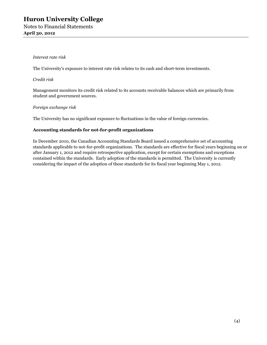#### *Interest rate risk*

The University's exposure to interest rate risk relates to its cash and short-term investments.

*Credit risk*

Management monitors its credit risk related to its accounts receivable balances which are primarily from student and government sources.

#### *Foreign exchange risk*

The University has no significant exposure to fluctuations in the value of foreign currencies*.*

#### **Accounting standards for not-for-profit organizations**

In December 2010, the Canadian Accounting Standards Board issued a comprehensive set of accounting standards applicable to not-for-profit organizations. The standards are effective for fiscal years beginning on or after January 1, 2012 and require retrospective application, except for certain exemptions and exceptions contained within the standards. Early adoption of the standards is permitted. The University is currently considering the impact of the adoption of these standards for its fiscal year beginning May 1, 2012.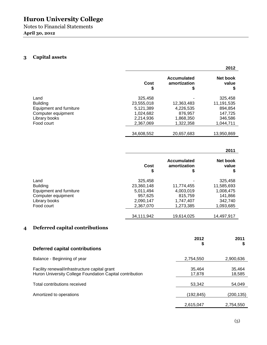Notes to Financial Statements **April 30, 2012**

# **3 Capital assets**

|                         |            |                                   | 2012                    |
|-------------------------|------------|-----------------------------------|-------------------------|
|                         | Cost<br>\$ | Accumulated<br>amortization<br>\$ | Net book<br>value<br>\$ |
| Land                    | 325.458    |                                   | 325,458                 |
| <b>Building</b>         | 23,555,018 | 12,363,483                        | 11,191,535              |
| Equipment and furniture | 5.121.389  | 4,226,535                         | 894,854                 |
| Computer equipment      | 1.024.682  | 876.957                           | 147,725                 |
| Library books           | 2,214,936  | 1,868,350                         | 346,586                 |
| Food court              | 2,367,069  | 1,322,358                         | 1,044,711               |
|                         | 34,608,552 | 20,657,683                        | 13,950,869              |

# **2011**

|                         | Cost<br>\$ | <b>Accumulated</b><br>amortization<br>\$ | Net book<br>value |
|-------------------------|------------|------------------------------------------|-------------------|
| Land                    | 325,458    |                                          | 325,458           |
| <b>Building</b>         | 23,360,148 | 11,774,455                               | 11,585,693        |
| Equipment and furniture | 5,011,494  | 4,003,019                                | 1,008,475         |
| Computer equipment      | 957,625    | 815,759                                  | 141,866           |
| Library books           | 2,090,147  | 1,747,407                                | 342.740           |
| Food court              | 2,367,070  | 1,273,385                                | 1,093,685         |
|                         | 34,111,942 | 19,614,025                               | 14.497.917        |

# **4 Deferred capital contributions**

|                                                                                                           | 2012<br>\$       | 2011<br>\$       |
|-----------------------------------------------------------------------------------------------------------|------------------|------------------|
| Deferred capital contributions                                                                            |                  |                  |
| Balance - Beginning of year                                                                               | 2,754,550        | 2,900,636        |
| Facility renewal/infrastructure capital grant<br>Huron University College Foundation Capital contribution | 35.464<br>17,878 | 35.464<br>18,585 |
| Total contributions received                                                                              | 53,342           | 54,049           |
| Amortized to operations                                                                                   | (192,845)        | (200, 135)       |
|                                                                                                           | 2.615.047        | 2.754.550        |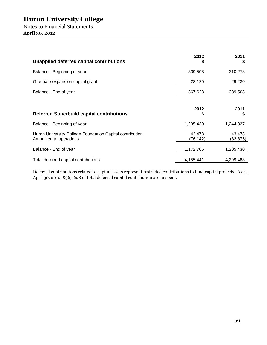Notes to Financial Statements **April 30, 2012**

| Unapplied deferred capital contributions                                            | 2012<br>S          | 2011<br>S          |
|-------------------------------------------------------------------------------------|--------------------|--------------------|
| Balance - Beginning of year                                                         | 339,508            | 310,278            |
| Graduate expansion capital grant                                                    | 28,120             | 29,230             |
| Balance - End of year                                                               | 367,628            | 339,508            |
| <b>Deferred Superbuild capital contributions</b>                                    | 2012<br>\$         | 2011<br>S          |
| Balance - Beginning of year                                                         | 1,205,430          | 1,244,827          |
| Huron University College Foundation Capital contribution<br>Amortized to operations | 43,478<br>(76,142) | 43,478<br>(82,875) |
| Balance - End of year                                                               | 1,172,766          | 1,205,430          |
| Total deferred capital contributions                                                | 4,155,441          | 4,299,488          |

Deferred contributions related to capital assets represent restricted contributions to fund capital projects. As at April 30, 2012, \$367,628 of total deferred capital contribution are unspent.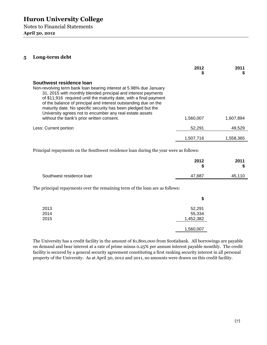Notes to Financial Statements **April 30, 2012**

# **5 Long-term debt**

|                                                                                                                                                                                                                                                                                                                                                                                                                                                                                   | 2012      | 2011      |
|-----------------------------------------------------------------------------------------------------------------------------------------------------------------------------------------------------------------------------------------------------------------------------------------------------------------------------------------------------------------------------------------------------------------------------------------------------------------------------------|-----------|-----------|
| Southwest residence loan<br>Non-revolving term bank loan bearing interest at 5.98% due January<br>31, 2015 with monthly blended principal and interest payments<br>of \$11,916 required until the maturity date, with a final payment<br>of the balance of principal and interest outstanding due on the<br>maturity date. No specific security has been pledged but the<br>University agrees not to encumber any real estate assets<br>without the bank's prior written consent. | 1.560.007 | 1.607.894 |
| Less: Current portion                                                                                                                                                                                                                                                                                                                                                                                                                                                             | 52,291    | 49,529    |
|                                                                                                                                                                                                                                                                                                                                                                                                                                                                                   | 1,507,716 | 1,558,365 |

Principal repayments on the Southwest residence loan during the year were as follows:

|                          | 2012<br>œ | 2011<br>¢<br>D |
|--------------------------|-----------|----------------|
| Southwest residence loan | 47,887    | 45,110         |

The principal repayments over the remaining term of the loan are as follows:

|      | \$        |
|------|-----------|
| 2013 | 52,291    |
| 2014 | 55,334    |
| 2015 | 1,452,382 |
|      | 1,560,007 |

The University has a credit facility in the amount of \$1,800,000 from Scotiabank. All borrowings are payable on demand and bear interest at a rate of prime minus 0.25% per annum interest payable monthly. The credit facility is secured by a general security agreement constituting a first ranking security interest in all personal property of the University. As at April 30, 2012 and 2011, no amounts were drawn on this credit facility.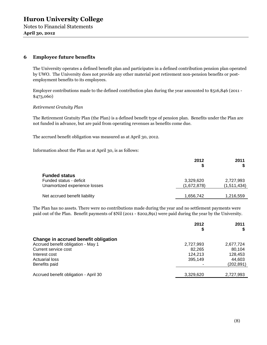**April 30, 2012**

## **6 Employee future benefits**

The University operates a defined benefit plan and participates in a defined contribution pension plan operated by UWO. The University does not provide any other material post retirement non-pension benefits or postemployment benefits to its employees.

Employer contributions made to the defined contribution plan during the year amounted to \$516,846 (2011 - \$473,060)

*Retirement Gratuity Plan*

The Retirement Gratuity Plan (the Plan) is a defined benefit type of pension plan. Benefits under the Plan are not funded in advance, but are paid from operating revenues as benefits come due.

The accrued benefit obligation was measured as at April 30, 2012.

Information about the Plan as at April 30, is as follows:

|                                                                                  | 2012<br>S                | 2011<br>S                |
|----------------------------------------------------------------------------------|--------------------------|--------------------------|
| <b>Funded status</b><br>Funded status - deficit<br>Unamortized experience losses | 3,329,620<br>(1,672,878) | 2,727,993<br>(1,511,434) |
| Net accrued benefit liability                                                    | 1,656,742                | 1,216,559                |

The Plan has no assets. There were no contributions made during the year and no settlement payments were paid out of the Plan. Benefit payments of \$Nil (2011 - \$202,891) were paid during the year by the University.

|                                       | 2012      | 2011       |
|---------------------------------------|-----------|------------|
| Change in accrued benefit obligation  |           |            |
| Accrued benefit obligation - May 1    | 2,727,993 | 2,677,724  |
| Current service cost                  | 82.265    | 80.104     |
| Interest cost                         | 124,213   | 128,453    |
| <b>Actuarial loss</b>                 | 395,149   | 44,603     |
| Benefits paid                         |           | (202, 891) |
| Accrued benefit obligation - April 30 | 3,329,620 | 2,727,993  |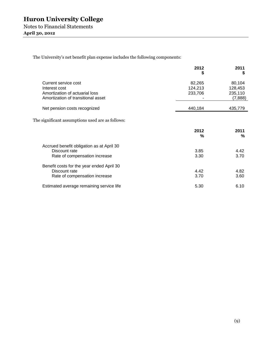The University's net benefit plan expense includes the following components:

|                                           | 2012<br>S | 2011<br>S |
|-------------------------------------------|-----------|-----------|
| Current service cost                      | 82,265    | 80,104    |
| Interest cost                             | 124,213   | 128,453   |
| Amortization of actuarial loss            | 233,706   | 235,110   |
| Amortization of transitional asset        |           | (7,888)   |
| Net pension costs recognized              | 440,184   | 435,779   |
|                                           | 2012<br>% | 2011<br>% |
|                                           |           |           |
| Accrued benefit obligation as at April 30 |           |           |
| Discount rate                             | 3.85      | 4.42      |
| Rate of compensation increase             | 3.30      | 3.70      |
| Benefit costs for the year ended April 30 |           |           |
| Discount rate                             | 4.42      | 4.82      |
| Rate of compensation increase             | 3.70      | 3.60      |
| Estimated average remaining service life  | 5.30      | 6.10      |
|                                           |           |           |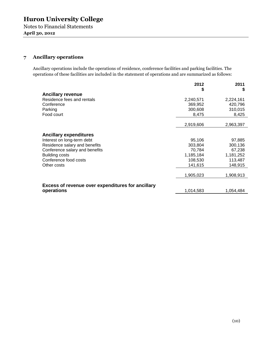Notes to Financial Statements **April 30, 2012**

# **7 Ancillary operations**

Ancillary operations include the operations of residence, conference facilities and parking facilities. The operations of these facilities are included in the statement of operations and are summarized as follows:

|                                                                 | 2012      | 2011      |
|-----------------------------------------------------------------|-----------|-----------|
| <b>Ancillary revenue</b>                                        | \$        | S         |
| Residence fees and rentals                                      | 2,240,571 | 2,224,161 |
| Conference                                                      | 369,952   | 420,796   |
| Parking                                                         | 300,608   | 310,015   |
| Food court                                                      | 8,475     | 8,425     |
|                                                                 |           |           |
|                                                                 | 2,919,606 | 2,963,397 |
|                                                                 |           |           |
| <b>Ancillary expenditures</b>                                   |           |           |
| Interest on long-term debt                                      | 95,106    | 97,885    |
| Residence salary and benefits                                   | 303,804   | 300,136   |
| Conference salary and benefits                                  | 70,784    | 67,238    |
| <b>Building costs</b>                                           | 1,185,184 | 1,181,252 |
| Conference food costs                                           | 108,530   | 113,487   |
| Other costs                                                     | 141,615   | 148,915   |
|                                                                 | 1,905,023 | 1,908,913 |
|                                                                 |           |           |
| Excess of revenue over expenditures for ancillary<br>operations | 1,014,583 | 1,054,484 |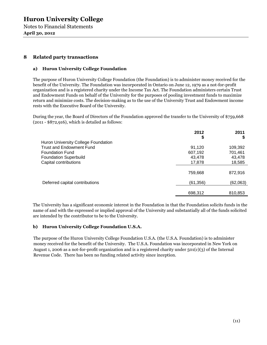Notes to Financial Statements **April 30, 2012**

# **8 Related party transactions**

### **a) Huron University College Foundation**

The purpose of Huron University College Foundation (the Foundation) is to administer money received for the benefit of the University. The Foundation was incorporated in Ontario on June 12, 1979 as a not-for-profit organization and is a registered charity under the Income Tax Act. The Foundation administers certain Trust and Endowment Funds on behalf of the University for the purposes of pooling investment funds to maximize return and minimize costs. The decision-making as to the use of the University Trust and Endowment income rests with the Executive Board of the University.

During the year, the Board of Directors of the Foundation approved the transfer to the University of \$759,668 (2011 - \$872,916), which is detailed as follows:

|                                     | 2012      | 2011     |
|-------------------------------------|-----------|----------|
|                                     | \$        | S        |
| Huron University College Foundation |           |          |
| <b>Trust and Endowment Fund</b>     | 91,120    | 109,392  |
| <b>Foundation Fund</b>              | 607,192   | 701,461  |
| <b>Foundation Superbuild</b>        | 43,478    | 43,478   |
| Capital contributions               | 17,878    | 18,585   |
|                                     | 759,668   | 872,916  |
| Deferred capital contributions      | (61, 356) | (62,063) |
|                                     |           |          |
|                                     | 698,312   | 810,853  |

The University has a significant economic interest in the Foundation in that the Foundation solicits funds in the name of and with the expressed or implied approval of the University and substantially all of the funds solicited are intended by the contributor to be to the University.

#### **b) Huron University College Foundation U.S.A.**

The purpose of the Huron University College Foundation U.S.A. (the U.S.A. Foundation) is to administer money received for the benefit of the University. The U.S.A. Foundation was incorporated in New York on August 1, 2006 as a not-for-profit organization and is a registered charity under 501(c)(3) of the Internal Revenue Code. There has been no funding related activity since inception.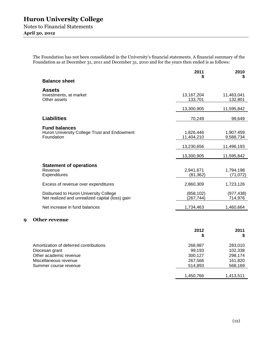**April 30, 2012**

The Foundation has not been consolidated in the University's financial statements. A financial summary of the Foundation as at December 31, 2011 and December 31, 2010 and for the years then ended is as follows:

|   |                                                                                          | 2011                         | 2010                          |
|---|------------------------------------------------------------------------------------------|------------------------------|-------------------------------|
|   | <b>Balance sheet</b>                                                                     |                              | S                             |
|   | <b>Assets</b><br>Investments, at market<br>Other assets                                  | 13, 167, 204<br>133,701      | 11,463,041<br>132,801         |
|   |                                                                                          | 13,300,905                   | 11,595,842                    |
|   | <b>Liabilities</b>                                                                       | 70,249                       | 99,649                        |
|   | <b>Fund balances</b><br>Huron University College Trust and Endowment<br>Foundation       | 1,826,446<br>11,404,210      | 1,907,459<br>9,588,734        |
|   |                                                                                          | 13,230,656                   | 11,496,193                    |
|   |                                                                                          | 13,300,905                   | 11,595,842                    |
|   | <b>Statement of operations</b><br>Revenue<br>Expenditures                                | 2,941,671<br>(81, 362)       | 1,794,198<br>(71, 072)        |
|   | Excess of revenue over expenditures                                                      | 2,860,309                    | 1,723,126                     |
|   | Disbursed to Huron University College<br>Net realized and unrealized capital (loss) gain | (858, 102)<br>(267, 744)     | (977, 438)<br>714,976         |
|   | Net increase in fund balances                                                            | 1,734,463                    | 1,460,664                     |
| 9 | <b>Other revenue</b>                                                                     |                              |                               |
|   |                                                                                          | 2012<br>\$                   | 2011<br>\$                    |
|   | Amortization of deferred contributions<br>Diocesan grant<br>Other academic revenue       | 268,987<br>99,193<br>300,127 | 283,010<br>102,338<br>298,174 |

Miscellaneous revenue 267,566 161,820<br>
Summer course revenue 267,566 268,169 Summer course revenue 514,893

1,450,766 1,413,511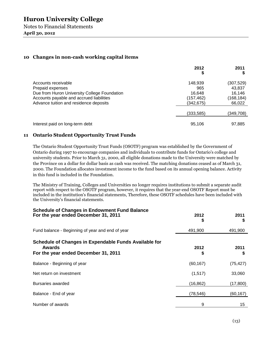### **April 30, 2012**

## **10 Changes in non-cash working capital items**

|                                                                                                                                                                               | 2012<br>\$                                          | 2011                                                  |
|-------------------------------------------------------------------------------------------------------------------------------------------------------------------------------|-----------------------------------------------------|-------------------------------------------------------|
| Accounts receivable<br>Prepaid expenses<br>Due from Huron University College Foundation<br>Accounts payable and accrued liabilities<br>Advance tuition and residence deposits | 148,939<br>965<br>16.648<br>(157, 462)<br>(342,675) | (307, 529)<br>43,837<br>16.146<br>(168,184)<br>66,022 |
|                                                                                                                                                                               | (333,585)                                           | (349,708)                                             |
| Interest paid on long-term debt                                                                                                                                               | 95,106                                              | 97,885                                                |

### **11 Ontario Student Opportunity Trust Funds**

The Ontario Student Opportunity Trust Funds (OSOTF) program was established by the Government of Ontario during 1997 to encourage companies and individuals to contribute funds for Ontario's college and university students. Prior to March 31, 2000, all eligible donations made to the University were matched by the Province on a dollar for dollar basis as cash was received. The matching donations ceased as of March 31, 2000. The Foundation allocates investment income to the fund based on its annual opening balance. Activity in this fund is included in the Foundation.

The Ministry of Training, Colleges and Universities no longer requires institutions to submit a separate audit report with respect to the OSOTF program, however, it requires that the year-end OSOTF Report must be included in the institution's financial statements, Therefore, these OSOTF schedules have been included with the University's financial statements.

| <b>Schedule of Changes in Endowment Fund Balance</b><br>For the year ended December 31, 2011            | 2012<br>\$ | 2011       |
|---------------------------------------------------------------------------------------------------------|------------|------------|
| Fund balance - Beginning of year and end of year                                                        | 491,900    | 491,900    |
| Schedule of Changes in Expendable Funds Available for<br>Awards<br>For the year ended December 31, 2011 | 2012<br>\$ | 2011<br>\$ |
| Balance - Beginning of year                                                                             | (60, 167)  | (75, 427)  |
| Net return on investment                                                                                | (1,517)    | 33,060     |
| Bursaries awarded                                                                                       | (16, 862)  | (17, 800)  |
| Balance - End of year                                                                                   | (78, 546)  | (60, 167)  |
| Number of awards                                                                                        | 9          | 15         |